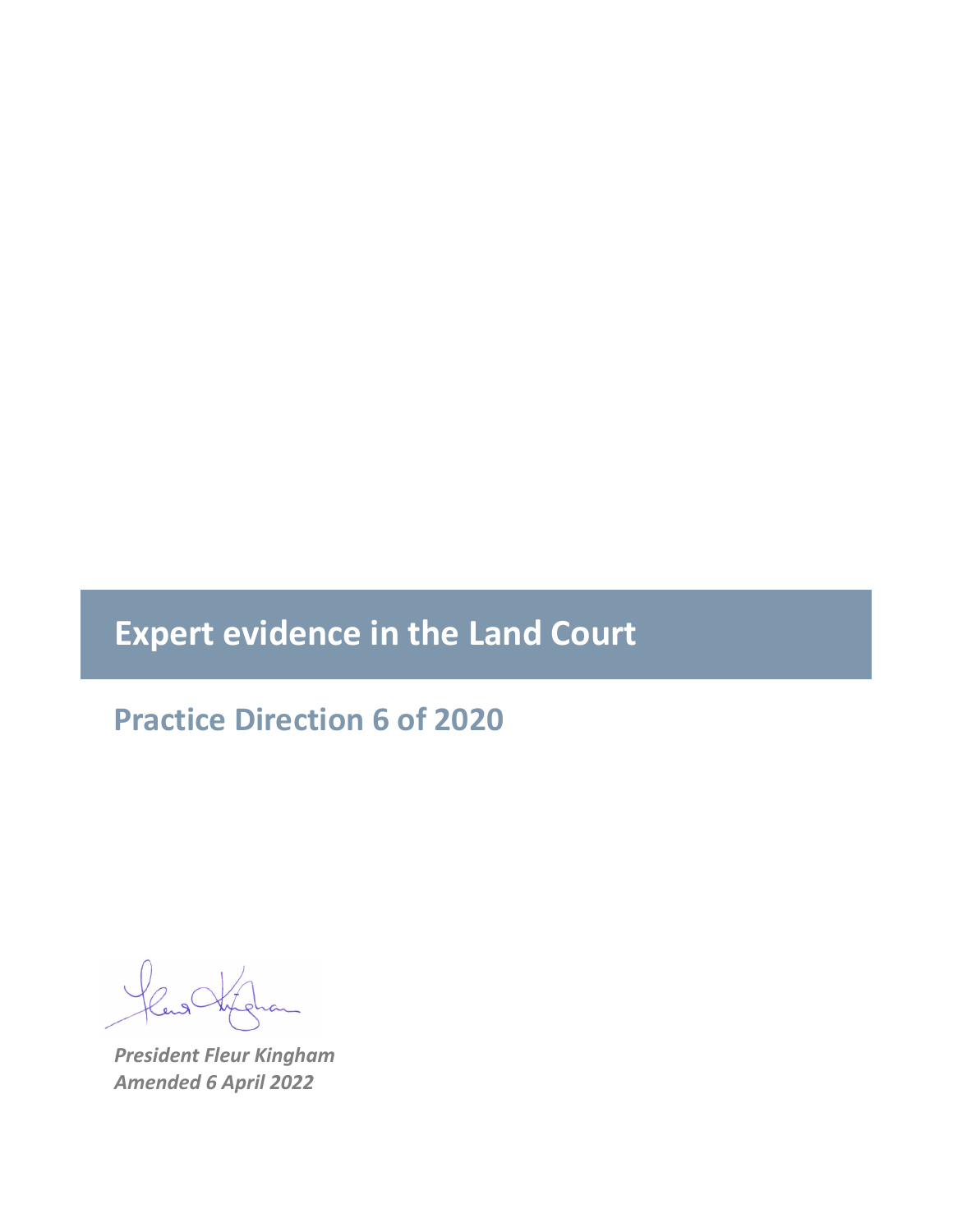# **Expert evidence in the Land Court**

**Practice Direction 6 of 2020**

*President Fleur Kingham Amended 6 April 2022*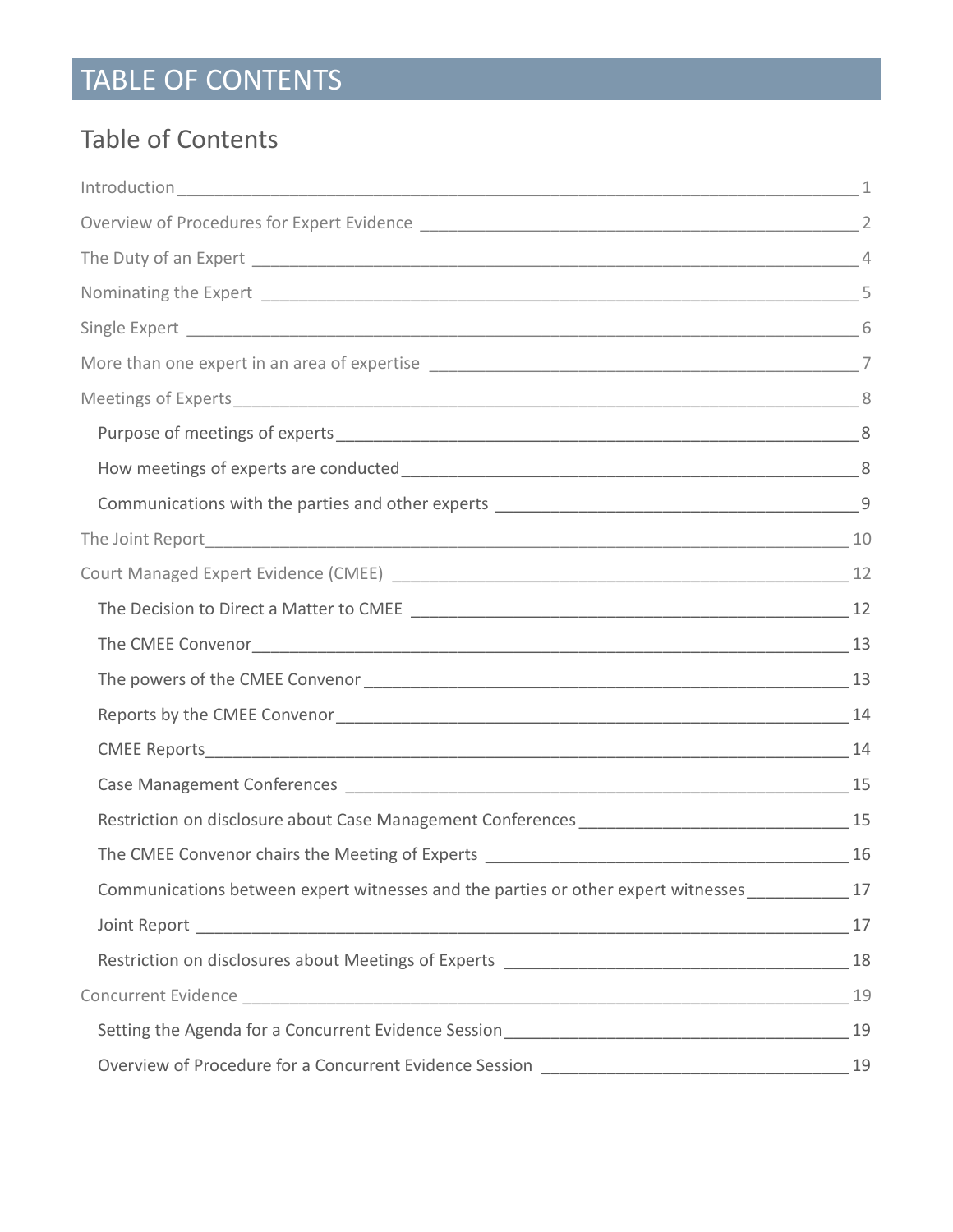# TABLE OF CONTENTS

### Table of Contents

| Communications between expert witnesses and the parties or other expert witnesses _________________ 17 |  |
|--------------------------------------------------------------------------------------------------------|--|
|                                                                                                        |  |
|                                                                                                        |  |
|                                                                                                        |  |
|                                                                                                        |  |
|                                                                                                        |  |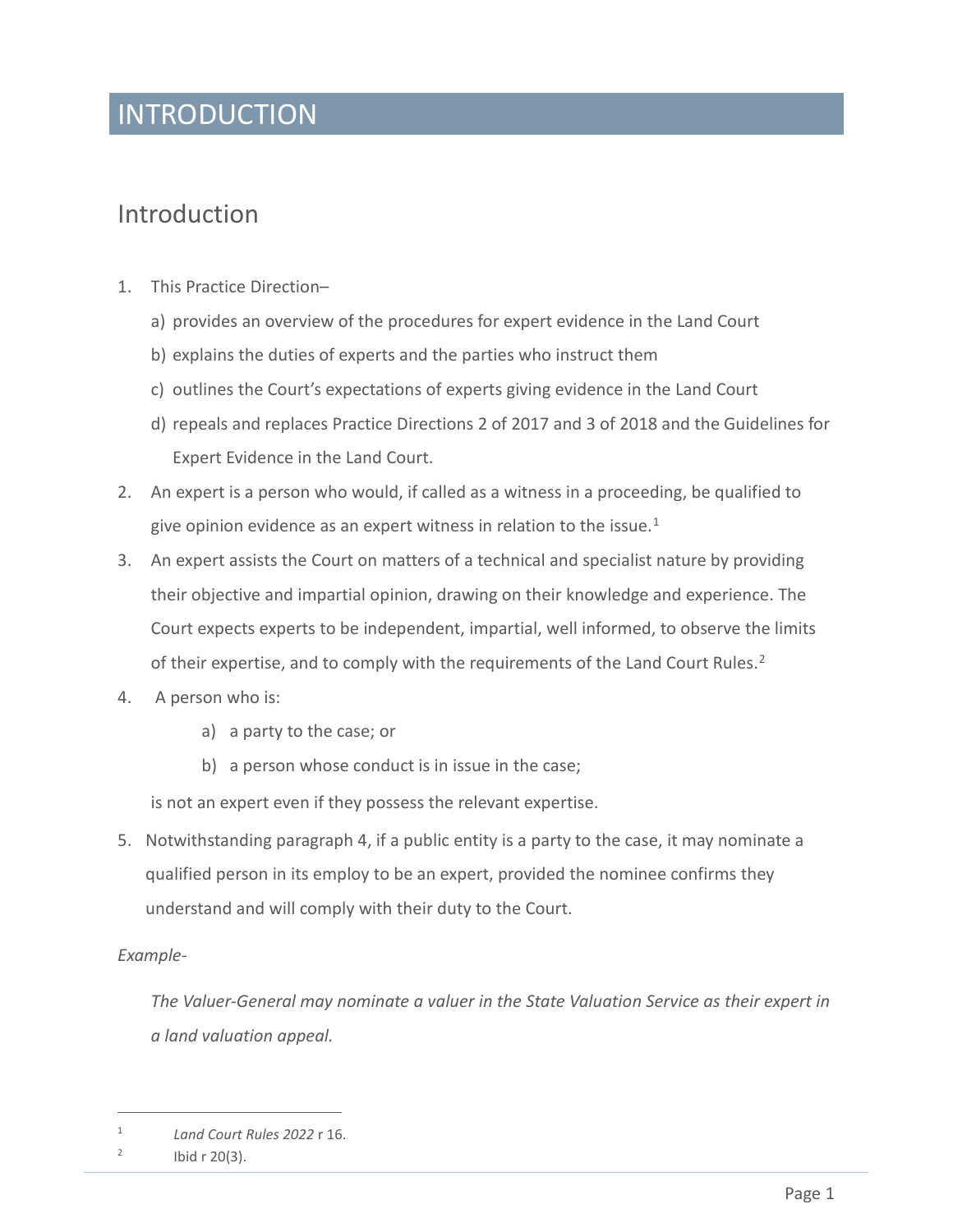### INTRODUCTION

### <span id="page-2-0"></span>Introduction

- 1. This Practice Direction–
	- a) provides an overview of the procedures for expert evidence in the Land Court
	- b) explains the duties of experts and the parties who instruct them
	- c) outlines the Court's expectations of experts giving evidence in the Land Court
	- d) repeals and replaces Practice Directions 2 of 2017 and 3 of 2018 and the Guidelines for Expert Evidence in the Land Court.
- 2. An expert is a person who would, if called as a witness in a proceeding, be qualified to give opinion evidence as an expert witness in relation to the issue.<sup>[1](#page-2-1)</sup>
- 3. An expert assists the Court on matters of a technical and specialist nature by providing their objective and impartial opinion, drawing on their knowledge and experience. The Court expects experts to be independent, impartial, well informed, to observe the limits of their expertise, and to comply with the requirements of the Land Court Rules.<sup>[2](#page-2-2)</sup>
- 4. A person who is:
	- a) a party to the case; or
	- b) a person whose conduct is in issue in the case;

is not an expert even if they possess the relevant expertise.

5. Notwithstanding paragraph 4, if a public entity is a party to the case, it may nominate a qualified person in its employ to be an expert, provided the nominee confirms they understand and will comply with their duty to the Court.

#### *Example-*

*The Valuer-General may nominate a valuer in the State Valuation Service as their expert in a land valuation appeal.*

<span id="page-2-1"></span><sup>1</sup> *Land Court Rules 2022* r 16.

<span id="page-2-2"></span> $2$  Ibid r 20(3).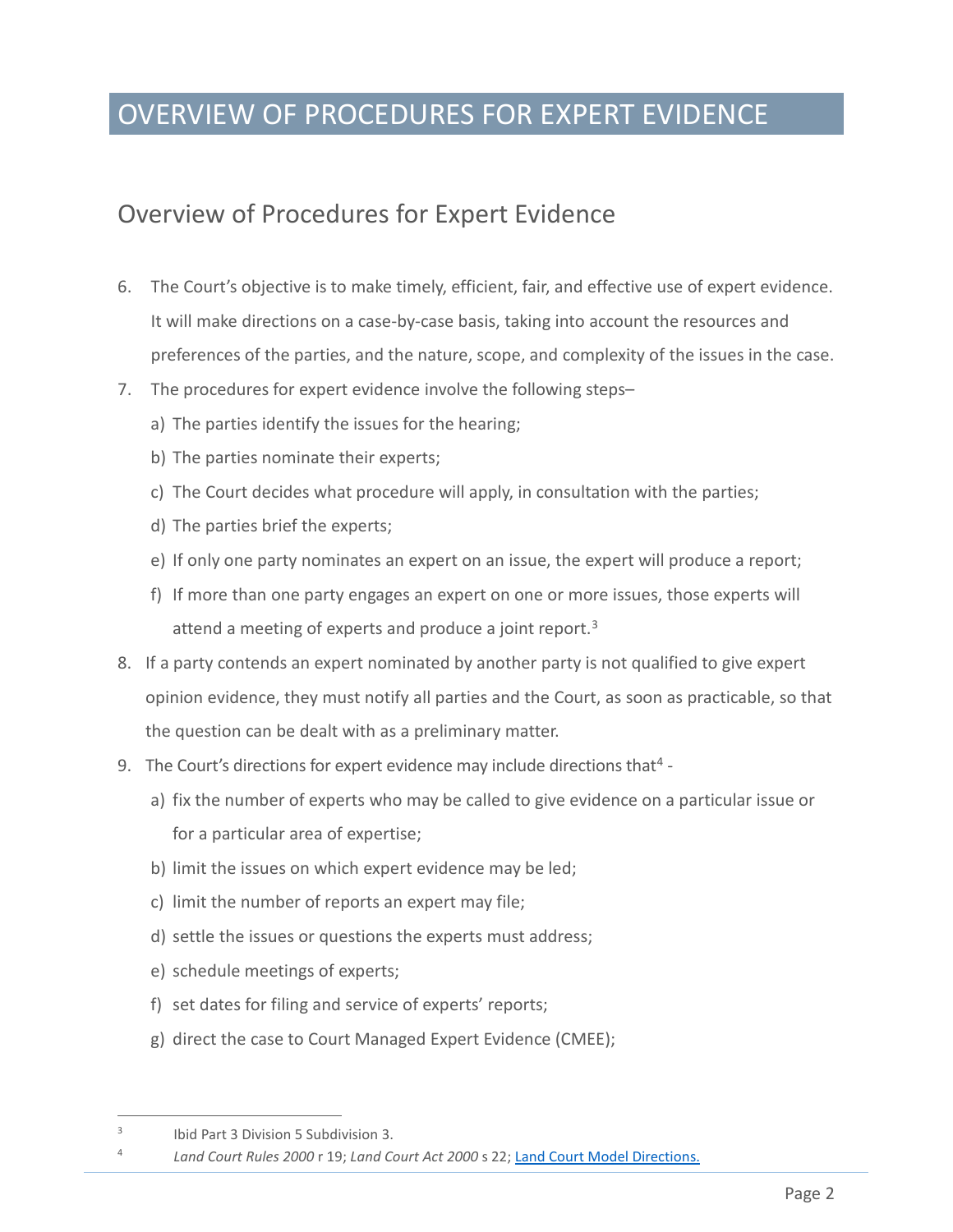### OVERVIEW OF PROCEDURES FOR EXPERT EVIDENCE

### <span id="page-3-0"></span>Overview of Procedures for Expert Evidence

- 6. The Court's objective is to make timely, efficient, fair, and effective use of expert evidence. It will make directions on a case-by-case basis, taking into account the resources and preferences of the parties, and the nature, scope, and complexity of the issues in the case.
- 7. The procedures for expert evidence involve the following steps–
	- a) The parties identify the issues for the hearing;
	- b) The parties nominate their experts;
	- c) The Court decides what procedure will apply, in consultation with the parties;
	- d) The parties brief the experts;
	- e) If only one party nominates an expert on an issue, the expert will produce a report;
	- f) If more than one party engages an expert on one or more issues, those experts will attend a meeting of experts and produce a joint report.<sup>[3](#page-3-1)</sup>
- 8. If a party contends an expert nominated by another party is not qualified to give expert opinion evidence, they must notify all parties and the Court, as soon as practicable, so that the question can be dealt with as a preliminary matter.
- 9. The Court's directions for expert evidence may include directions that<sup>[4](#page-3-2)</sup>
	- a) fix the number of experts who may be called to give evidence on a particular issue or for a particular area of expertise;
	- b) limit the issues on which expert evidence may be led;
	- c) limit the number of reports an expert may file;
	- d) settle the issues or questions the experts must address;
	- e) schedule meetings of experts;
	- f) set dates for filing and service of experts' reports;
	- g) direct the case to Court Managed Expert Evidence (CMEE);

<span id="page-3-2"></span><span id="page-3-1"></span><sup>3</sup> Ibid Part 3 Division 5 Subdivision 3.

<sup>4</sup> *Land Court Rules 2000* r 19; *Land Court Act 2000* s 22; [Land Court Model Directions.](https://www.courts.qld.gov.au/__data/assets/pdf_file/0018/555012/Model-Directions-Version-2.2.pdf)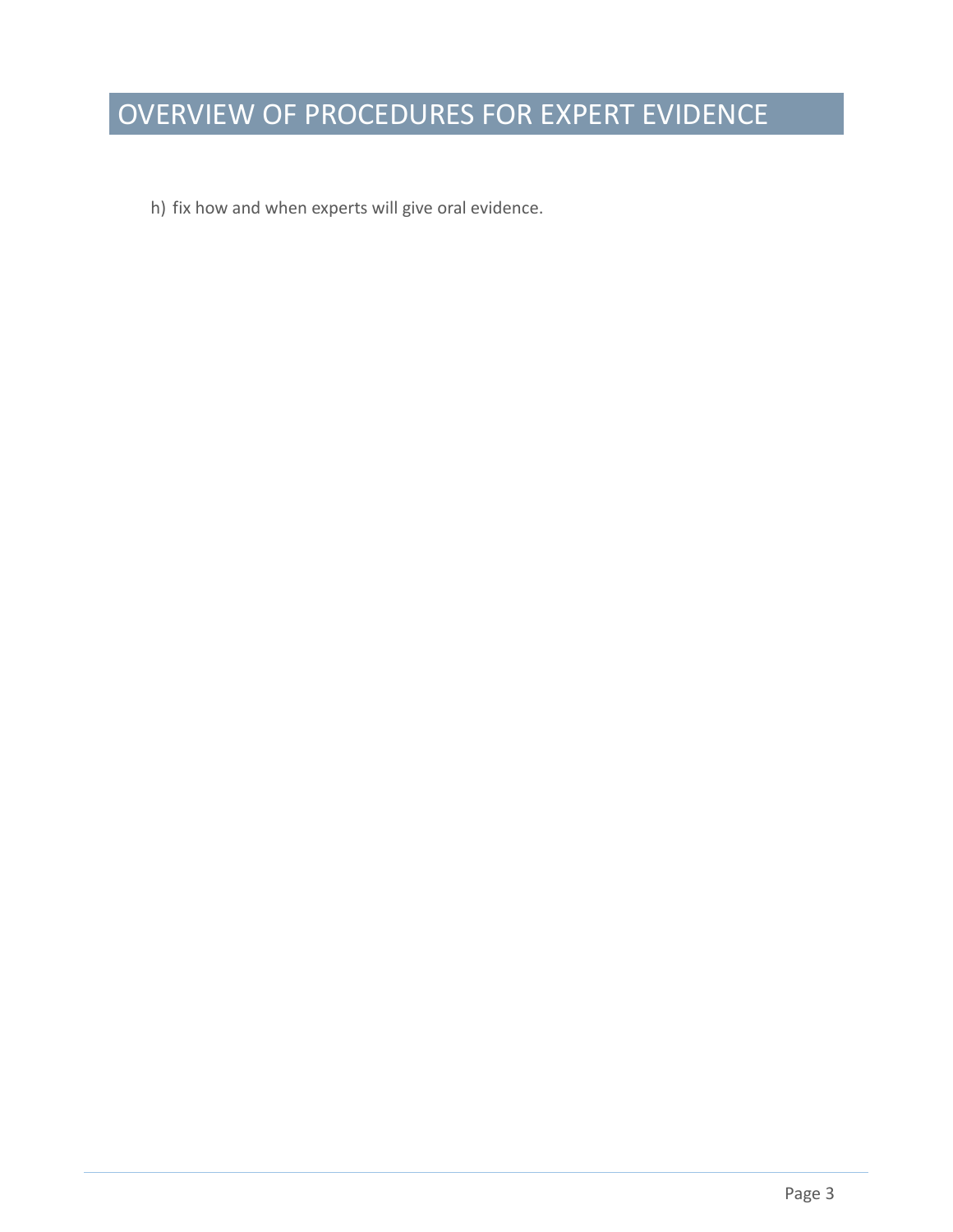# OVERVIEW OF PROCEDURES FOR EXPERT EVIDENCE

h) fix how and when experts will give oral evidence.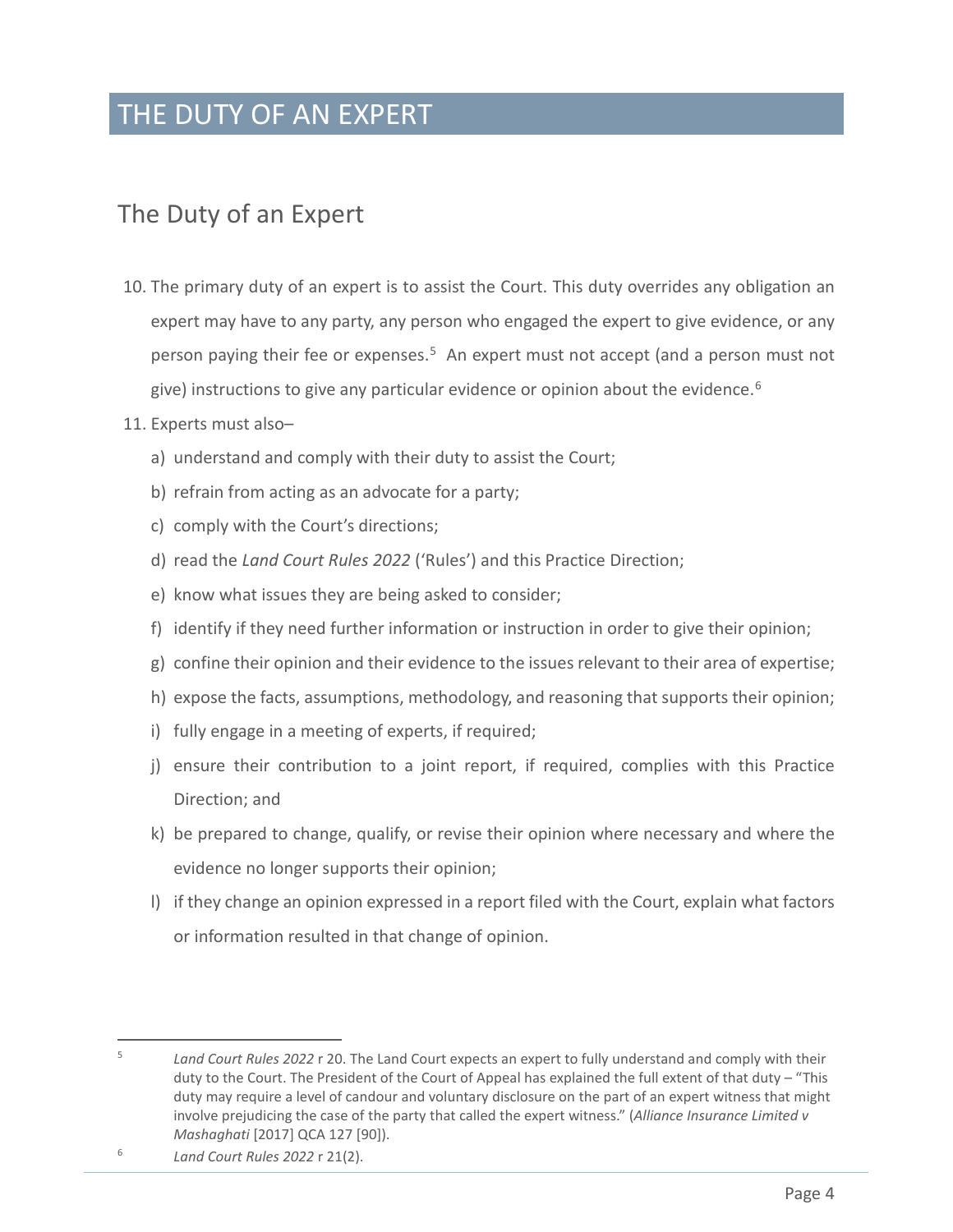### THE DUTY OF AN EXPERT

### <span id="page-5-0"></span>The Duty of an Expert

- 10. The primary duty of an expert is to assist the Court. This duty overrides any obligation an expert may have to any party, any person who engaged the expert to give evidence, or any person paying their fee or expenses.<sup>[5](#page-5-1)</sup> An expert must not accept (and a person must not give) instructions to give any particular evidence or opinion about the evidence. [6](#page-5-2)
- 11. Experts must also–
	- a) understand and comply with their duty to assist the Court;
	- b) refrain from acting as an advocate for a party;
	- c) comply with the Court's directions;
	- d) read the *Land Court Rules 2022* ('Rules') and this Practice Direction;
	- e) know what issues they are being asked to consider;
	- f) identify if they need further information or instruction in order to give their opinion;
	- g) confine their opinion and their evidence to the issues relevant to their area of expertise;
	- h) expose the facts, assumptions, methodology, and reasoning that supports their opinion;
	- i) fully engage in a meeting of experts, if required;
	- j) ensure their contribution to a joint report, if required, complies with this Practice Direction; and
	- k) be prepared to change, qualify, or revise their opinion where necessary and where the evidence no longer supports their opinion;
	- l) if they change an opinion expressed in a report filed with the Court, explain what factors or information resulted in that change of opinion.

<span id="page-5-1"></span><sup>5</sup> *Land Court Rules 2022* r 20. The Land Court expects an expert to fully understand and comply with their duty to the Court. The President of the Court of Appeal has explained the full extent of that duty – "This duty may require a level of candour and voluntary disclosure on the part of an expert witness that might involve prejudicing the case of the party that called the expert witness." (*Alliance Insurance Limited v Mashaghati* [2017] QCA 127 [90]).

<span id="page-5-2"></span><sup>6</sup> *Land Court Rules 2022* r 21(2).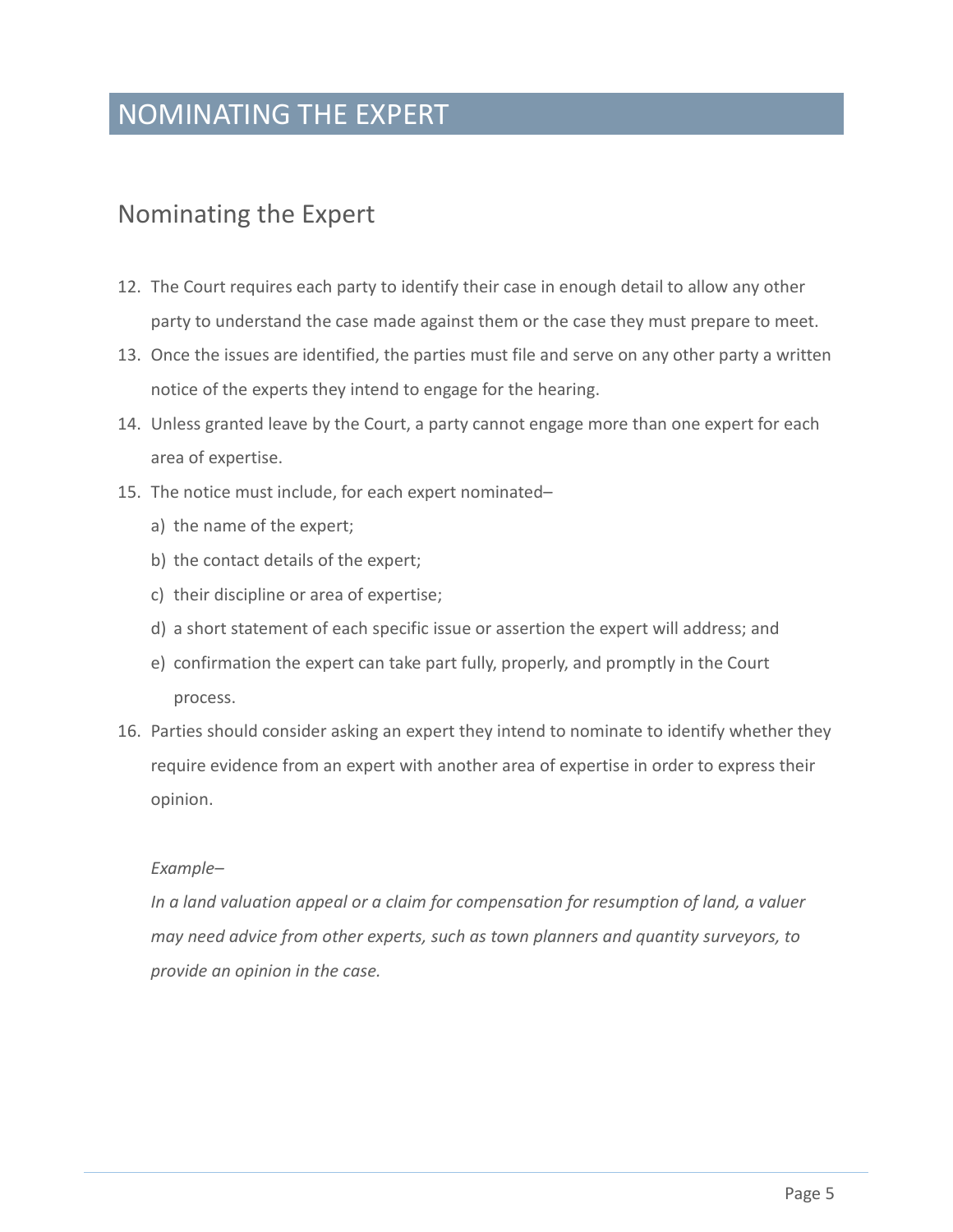# NOMINATING THE EXPERT

### <span id="page-6-0"></span>Nominating the Expert

- 12. The Court requires each party to identify their case in enough detail to allow any other party to understand the case made against them or the case they must prepare to meet.
- 13. Once the issues are identified, the parties must file and serve on any other party a written notice of the experts they intend to engage for the hearing.
- 14. Unless granted leave by the Court, a party cannot engage more than one expert for each area of expertise.
- 15. The notice must include, for each expert nominated–
	- a) the name of the expert;
	- b) the contact details of the expert;
	- c) their discipline or area of expertise;
	- d) a short statement of each specific issue or assertion the expert will address; and
	- e) confirmation the expert can take part fully, properly, and promptly in the Court process.
- 16. Parties should consider asking an expert they intend to nominate to identify whether they require evidence from an expert with another area of expertise in order to express their opinion.

#### *Example–*

*In a land valuation appeal or a claim for compensation for resumption of land, a valuer may need advice from other experts, such as town planners and quantity surveyors, to provide an opinion in the case.*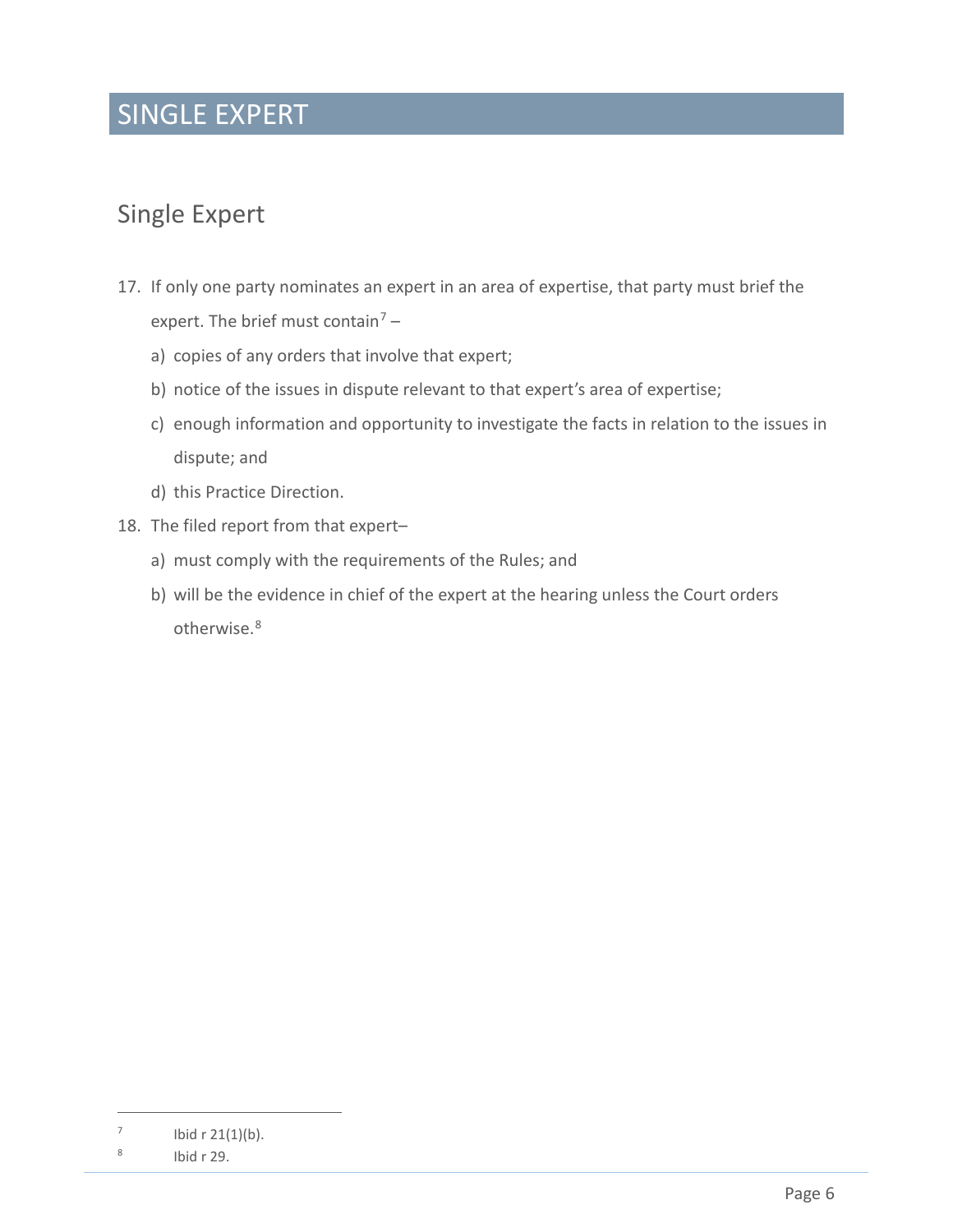## SINGLE EXPERT

### <span id="page-7-0"></span>Single Expert

- 17. If only one party nominates an expert in an area of expertise, that party must brief the expert. The brief must contain<sup>[7](#page-7-1)</sup> –
	- a) copies of any orders that involve that expert;
	- b) notice of the issues in dispute relevant to that expert's area of expertise;
	- c) enough information and opportunity to investigate the facts in relation to the issues in dispute; and
	- d) this Practice Direction.
- 18. The filed report from that expert–
	- a) must comply with the requirements of the Rules; and
	- b) will be the evidence in chief of the expert at the hearing unless the Court orders otherwise.[8](#page-7-2)

<span id="page-7-1"></span> $7$  Ibid r 21(1)(b).

<span id="page-7-2"></span><sup>8</sup> Ibid r 29.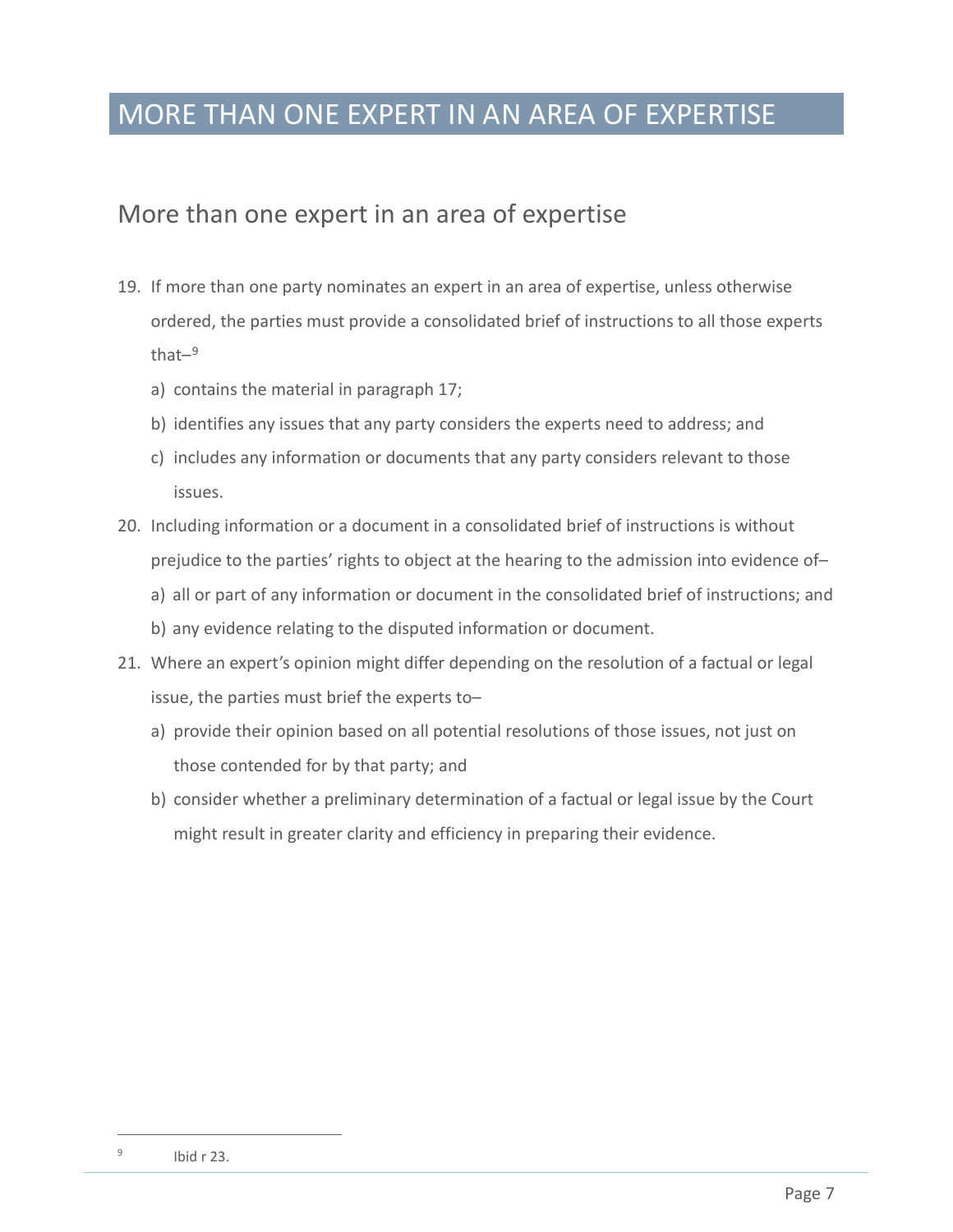## MORE THAN ONE EXPERT IN AN AREA OF EXPERTISE

### <span id="page-8-0"></span>More than one expert in an area of expertise

- 19. If more than one party nominates an expert in an area of expertise, unless otherwise ordered, the parties must provide a consolidated brief of instructions to all those experts that $-9$  $-9$ 
	- a) contains the material in paragraph 17;
	- b) identifies any issues that any party considers the experts need to address; and
	- c) includes any information or documents that any party considers relevant to those issues.
- 20. Including information or a document in a consolidated brief of instructions is without prejudice to the parties' rights to object at the hearing to the admission into evidence of–
	- a) all or part of any information or document in the consolidated brief of instructions; and
	- b) any evidence relating to the disputed information or document.
- 21. Where an expert's opinion might differ depending on the resolution of a factual or legal issue, the parties must brief the experts to–
	- a) provide their opinion based on all potential resolutions of those issues, not just on those contended for by that party; and
	- b) consider whether a preliminary determination of a factual or legal issue by the Court might result in greater clarity and efficiency in preparing their evidence.

<span id="page-8-1"></span><sup>9</sup> Ibid r 23.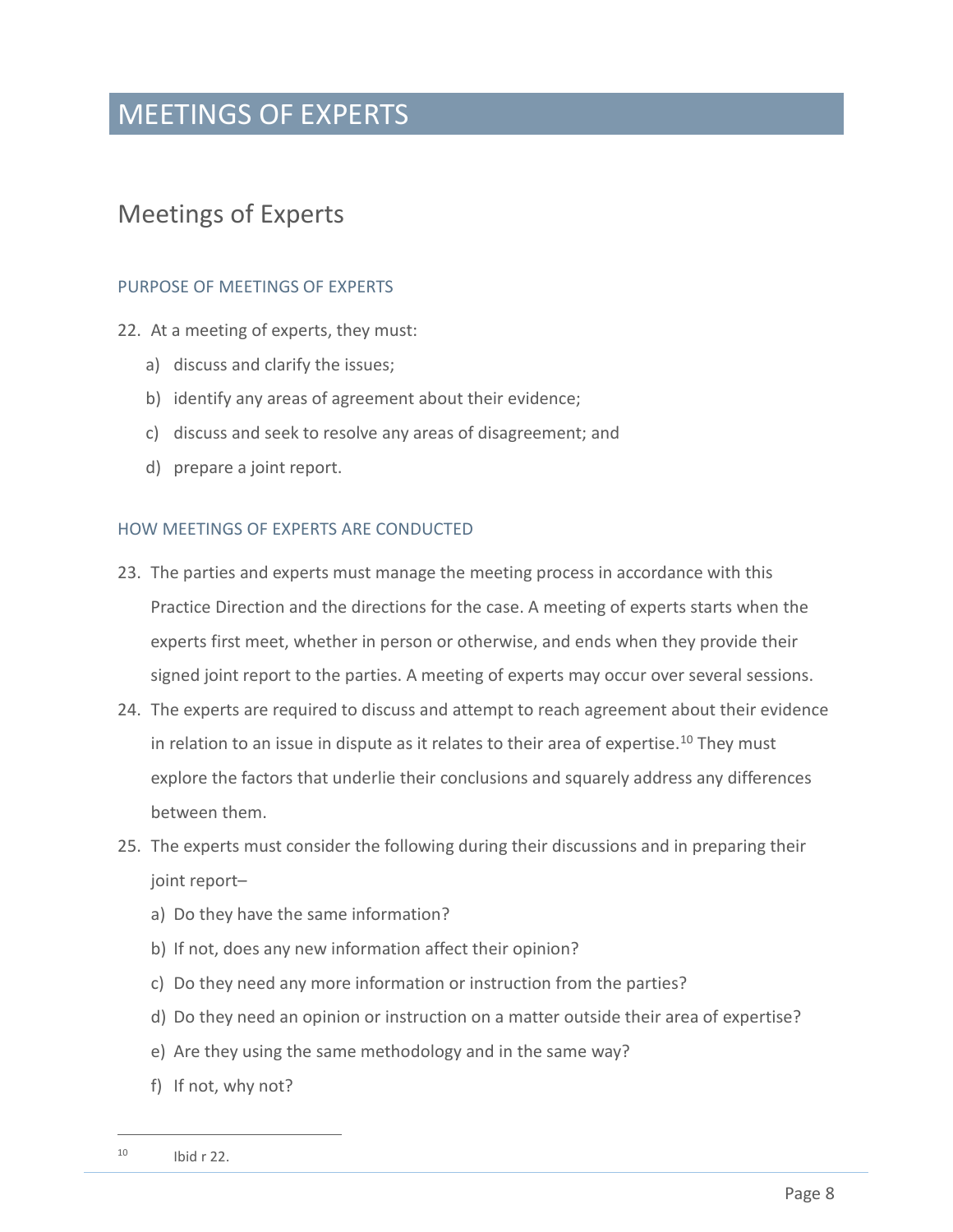### MEETINGS OF EXPERTS

### <span id="page-9-0"></span>Meetings of Experts

#### <span id="page-9-1"></span>PURPOSE OF MEETINGS OF EXPERTS

22. At a meeting of experts, they must:

- a) discuss and clarify the issues;
- b) identify any areas of agreement about their evidence;
- c) discuss and seek to resolve any areas of disagreement; and
- d) prepare a joint report.

#### <span id="page-9-2"></span>HOW MEETINGS OF EXPERTS ARE CONDUCTED

- 23. The parties and experts must manage the meeting process in accordance with this Practice Direction and the directions for the case. A meeting of experts starts when the experts first meet, whether in person or otherwise, and ends when they provide their signed joint report to the parties. A meeting of experts may occur over several sessions.
- 24. The experts are required to discuss and attempt to reach agreement about their evidence in relation to an issue in dispute as it relates to their area of expertise.<sup>[10](#page-9-3)</sup> They must explore the factors that underlie their conclusions and squarely address any differences between them.
- 25. The experts must consider the following during their discussions and in preparing their joint report–
	- a) Do they have the same information?
	- b) If not, does any new information affect their opinion?
	- c) Do they need any more information or instruction from the parties?
	- d) Do they need an opinion or instruction on a matter outside their area of expertise?
	- e) Are they using the same methodology and in the same way?
	- f) If not, why not?

<span id="page-9-3"></span> $10$  Ibid r 22.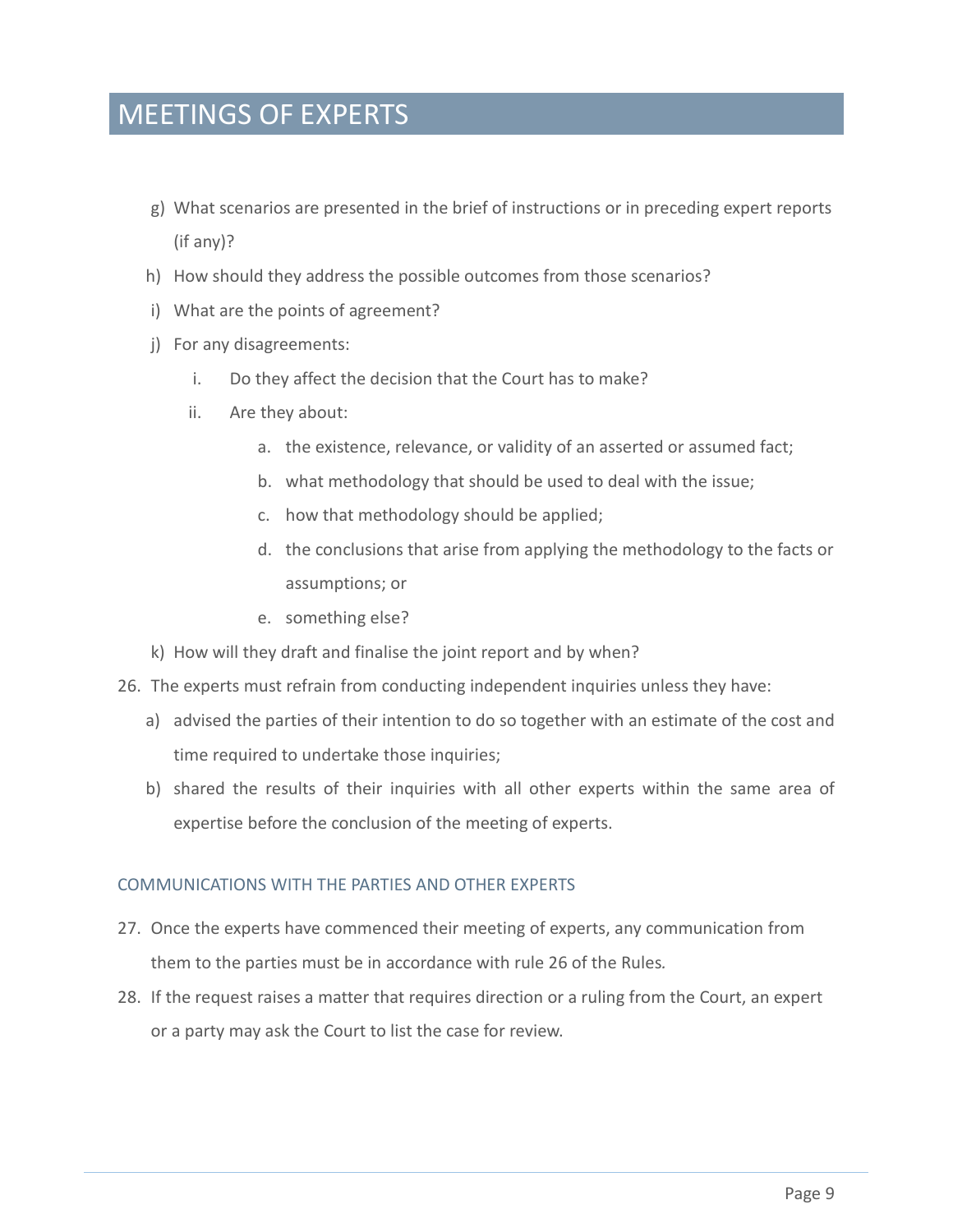### MEETINGS OF EXPERTS

- g) What scenarios are presented in the brief of instructions or in preceding expert reports (if any)?
- h) How should they address the possible outcomes from those scenarios?
- i) What are the points of agreement?
- j) For any disagreements:
	- i. Do they affect the decision that the Court has to make?
	- ii. Are they about:
		- a. the existence, relevance, or validity of an asserted or assumed fact;
		- b. what methodology that should be used to deal with the issue;
		- c. how that methodology should be applied;
		- d. the conclusions that arise from applying the methodology to the facts or assumptions; or
		- e. something else?
- k) How will they draft and finalise the joint report and by when?
- 26. The experts must refrain from conducting independent inquiries unless they have:
	- a) advised the parties of their intention to do so together with an estimate of the cost and time required to undertake those inquiries;
	- b) shared the results of their inquiries with all other experts within the same area of expertise before the conclusion of the meeting of experts.

#### <span id="page-10-0"></span>COMMUNICATIONS WITH THE PARTIES AND OTHER EXPERTS

- 27. Once the experts have commenced their meeting of experts, any communication from them to the parties must be in accordance with rule 26 of the Rules*.*
- 28. If the request raises a matter that requires direction or a ruling from the Court, an expert or a party may ask the Court to list the case for review.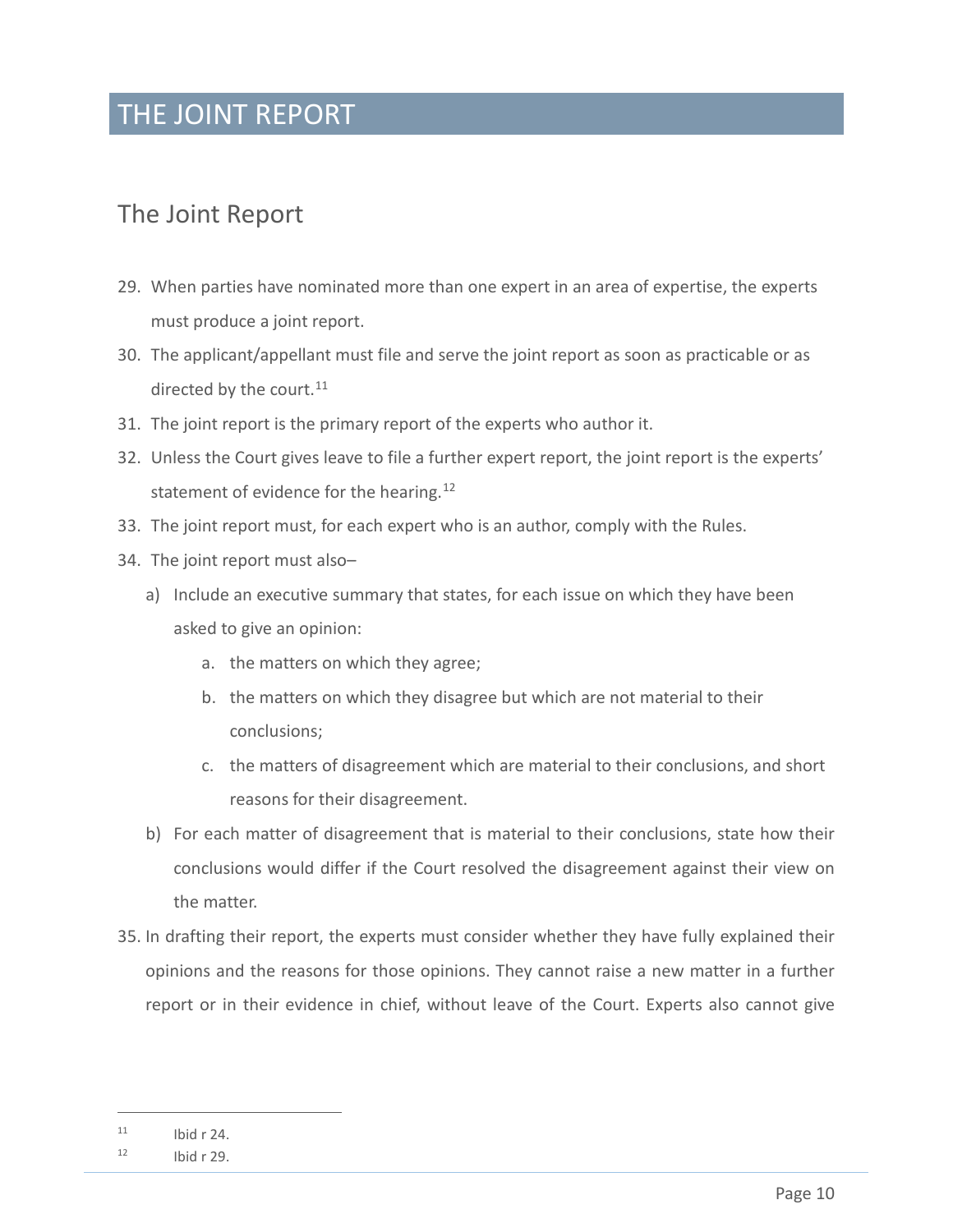### THE JOINT REPORT

### <span id="page-11-0"></span>The Joint Report

- 29. When parties have nominated more than one expert in an area of expertise, the experts must produce a joint report.
- 30. The applicant/appellant must file and serve the joint report as soon as practicable or as directed by the court.<sup>[11](#page-11-1)</sup>
- 31. The joint report is the primary report of the experts who author it.
- 32. Unless the Court gives leave to file a further expert report, the joint report is the experts' statement of evidence for the hearing.<sup>[12](#page-11-2)</sup>
- 33. The joint report must, for each expert who is an author, comply with the Rules.
- 34. The joint report must also–
	- a) Include an executive summary that states, for each issue on which they have been asked to give an opinion:
		- a. the matters on which they agree;
		- b. the matters on which they disagree but which are not material to their conclusions;
		- c. the matters of disagreement which are material to their conclusions, and short reasons for their disagreement.
	- b) For each matter of disagreement that is material to their conclusions, state how their conclusions would differ if the Court resolved the disagreement against their view on the matter.
- 35. In drafting their report, the experts must consider whether they have fully explained their opinions and the reasons for those opinions. They cannot raise a new matter in a further report or in their evidence in chief, without leave of the Court. Experts also cannot give

<span id="page-11-2"></span><span id="page-11-1"></span> $11$  Ibid r 24.

 $12$  Ibid r 29.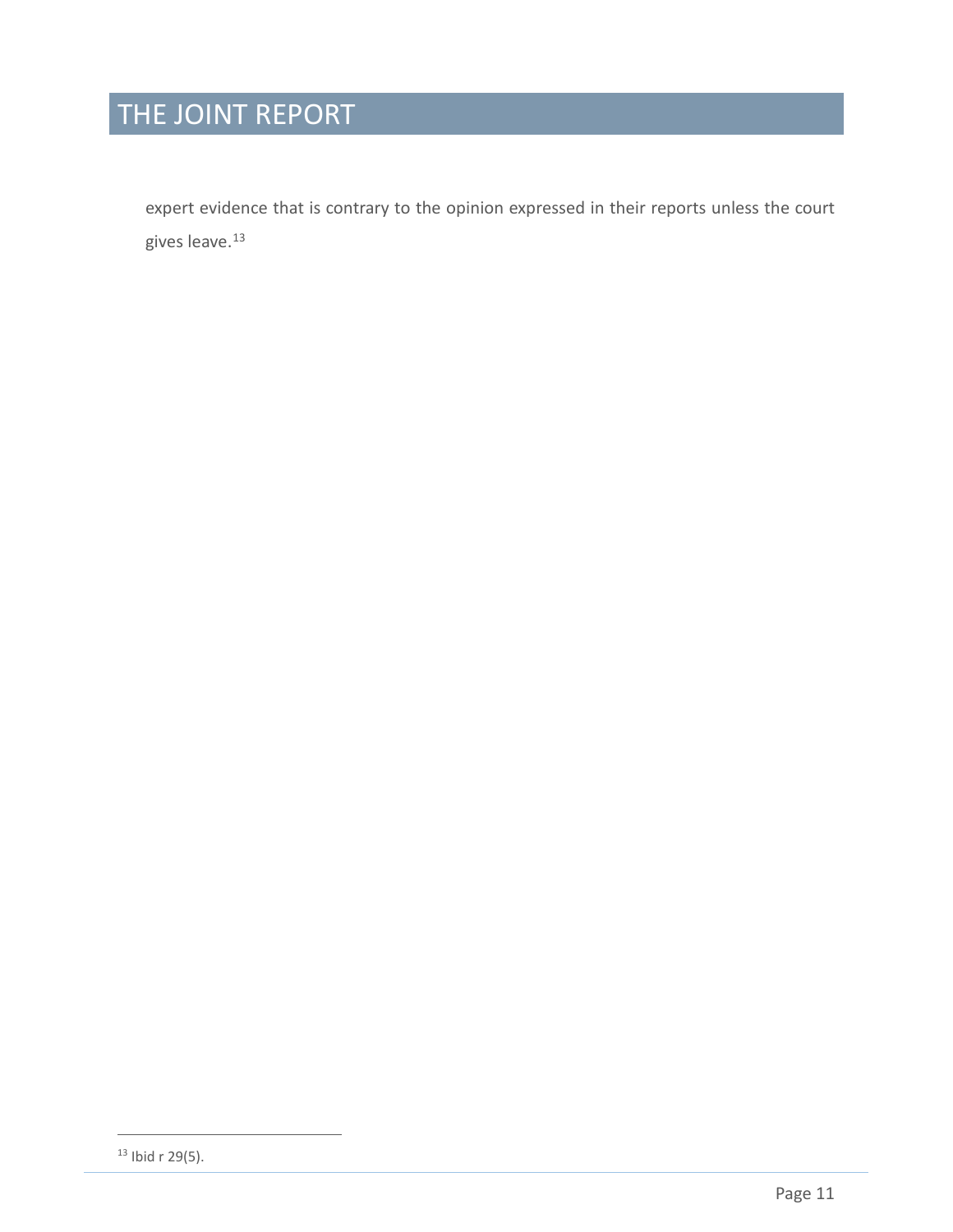# THE JOINT REPORT

expert evidence that is contrary to the opinion expressed in their reports unless the court gives leave.<sup>[13](#page-12-0)</sup>

<span id="page-12-0"></span><sup>13</sup> Ibid r 29(5).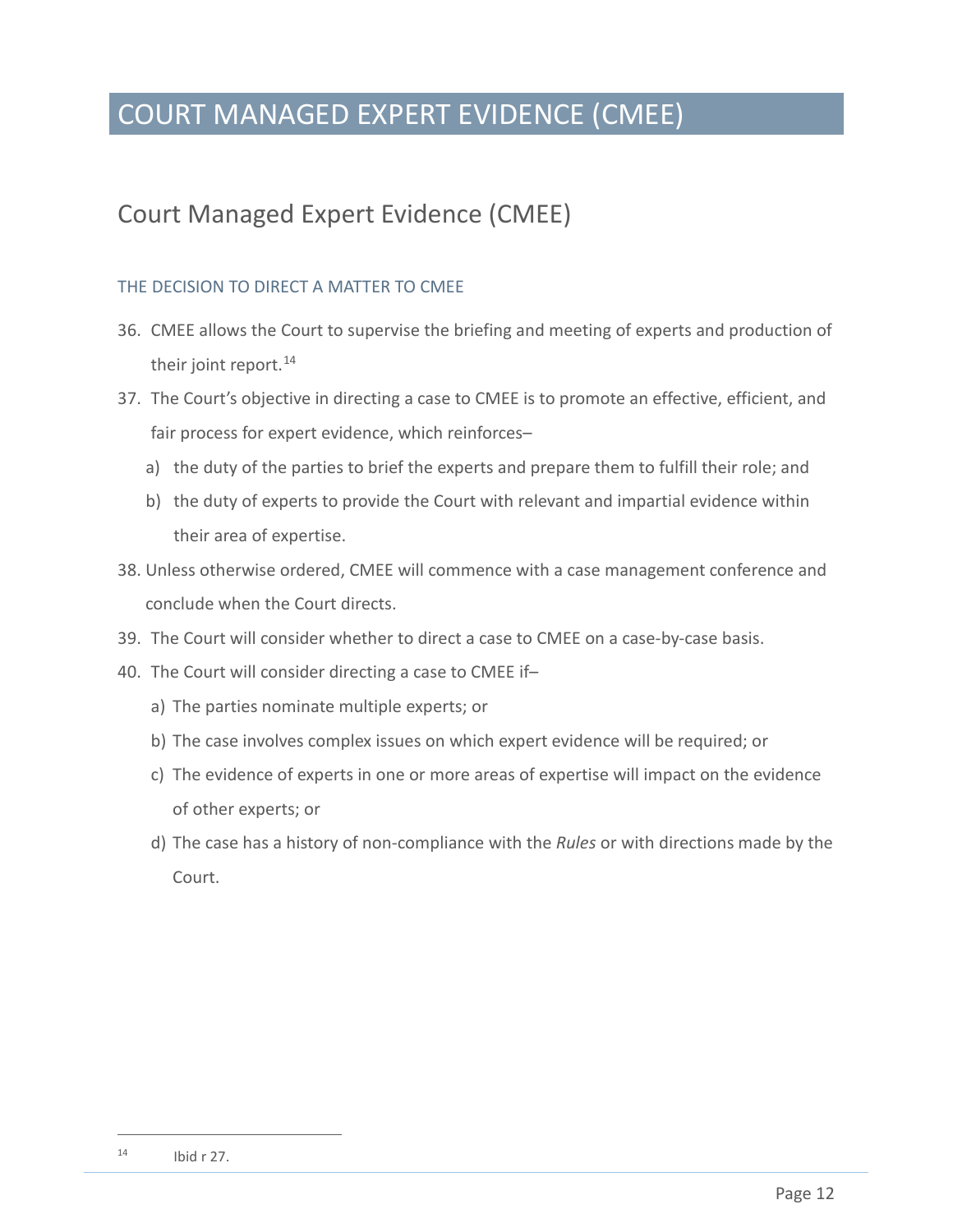### <span id="page-13-0"></span>Court Managed Expert Evidence (CMEE)

#### <span id="page-13-1"></span>THE DECISION TO DIRECT A MATTER TO CMEE

- 36. CMEE allows the Court to supervise the briefing and meeting of experts and production of their joint report.<sup>[14](#page-13-2)</sup>
- 37. The Court's objective in directing a case to CMEE is to promote an effective, efficient, and fair process for expert evidence, which reinforces–
	- a) the duty of the parties to brief the experts and prepare them to fulfill their role; and
	- b) the duty of experts to provide the Court with relevant and impartial evidence within their area of expertise.
- 38. Unless otherwise ordered, CMEE will commence with a case management conference and conclude when the Court directs.
- 39. The Court will consider whether to direct a case to CMEE on a case-by-case basis.
- 40. The Court will consider directing a case to CMEE if–
	- a) The parties nominate multiple experts; or
	- b) The case involves complex issues on which expert evidence will be required; or
	- c) The evidence of experts in one or more areas of expertise will impact on the evidence of other experts; or
	- d) The case has a history of non-compliance with the *Rules* or with directions made by the Court.

<span id="page-13-2"></span> $14$  Ibid r 27.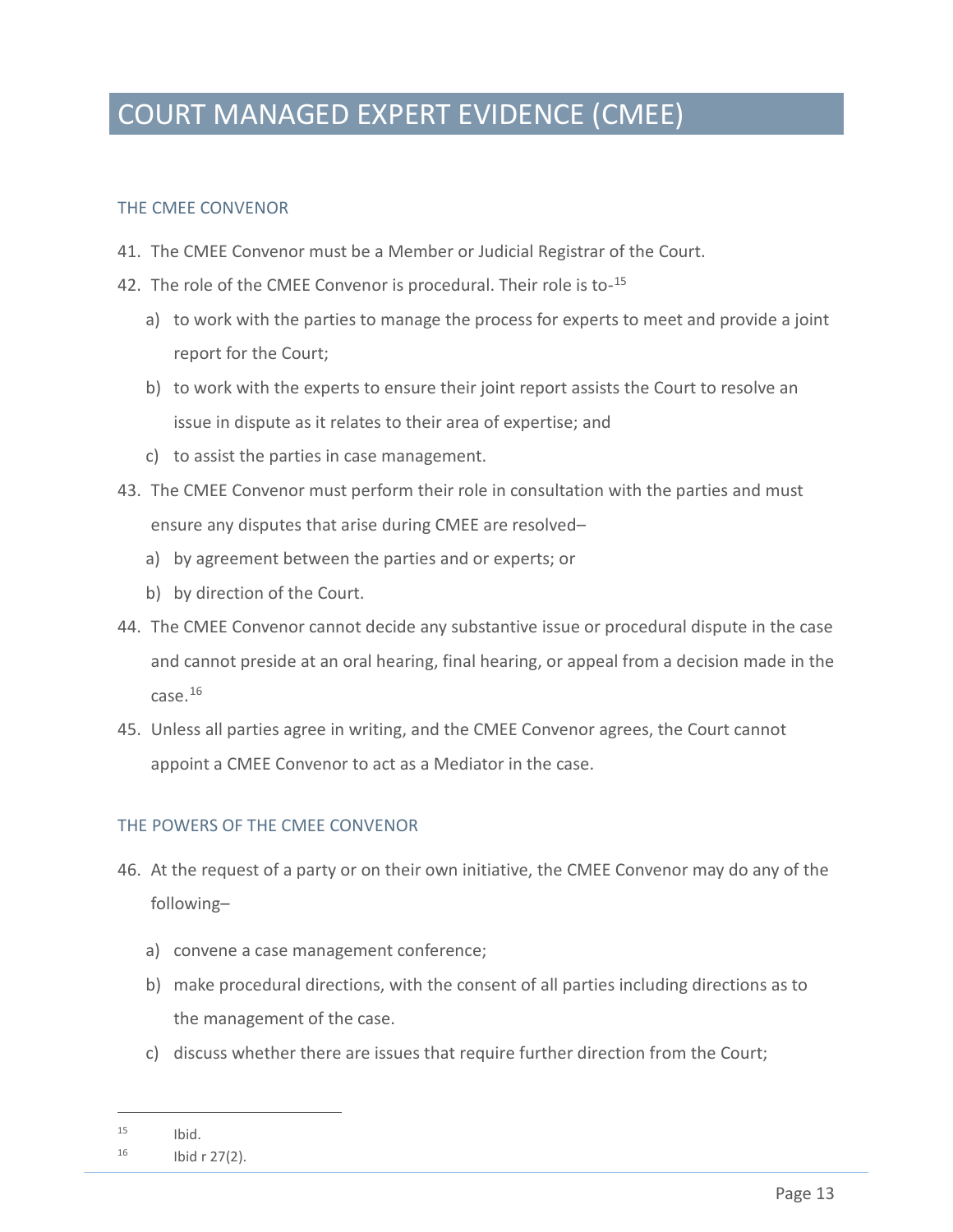#### <span id="page-14-0"></span>THE CMEE CONVENOR

- 41. The CMEE Convenor must be a Member or Judicial Registrar of the Court.
- 42. The role of the CMEE Convenor is procedural. Their role is to-<sup>[15](#page-14-2)</sup>
	- a) to work with the parties to manage the process for experts to meet and provide a joint report for the Court;
	- b) to work with the experts to ensure their joint report assists the Court to resolve an issue in dispute as it relates to their area of expertise; and
	- c) to assist the parties in case management.
- 43. The CMEE Convenor must perform their role in consultation with the parties and must ensure any disputes that arise during CMEE are resolved–
	- a) by agreement between the parties and or experts; or
	- b) by direction of the Court.
- 44. The CMEE Convenor cannot decide any substantive issue or procedural dispute in the case and cannot preside at an oral hearing, final hearing, or appeal from a decision made in the case.[16](#page-14-3)
- 45. Unless all parties agree in writing, and the CMEE Convenor agrees, the Court cannot appoint a CMEE Convenor to act as a Mediator in the case.

#### <span id="page-14-1"></span>THE POWERS OF THE CMEE CONVENOR

- 46. At the request of a party or on their own initiative, the CMEE Convenor may do any of the following–
	- a) convene a case management conference;
	- b) make procedural directions, with the consent of all parties including directions as to the management of the case.
	- c) discuss whether there are issues that require further direction from the Court;

 $15$  Ibid.

<span id="page-14-3"></span><span id="page-14-2"></span> $16$  Ibid r 27(2).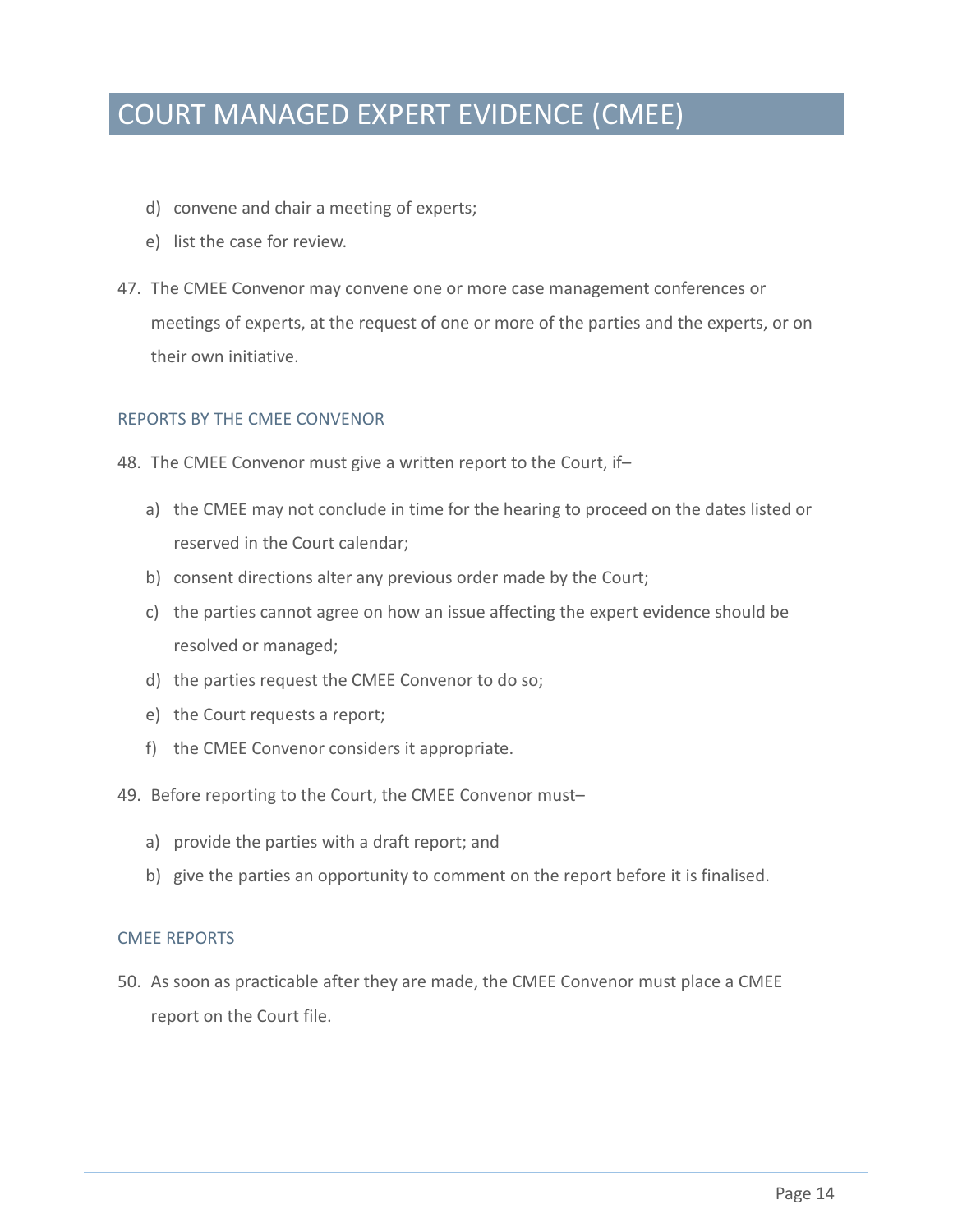- d) convene and chair a meeting of experts;
- e) list the case for review.
- 47. The CMEE Convenor may convene one or more case management conferences or meetings of experts, at the request of one or more of the parties and the experts, or on their own initiative.

#### <span id="page-15-0"></span>REPORTS BY THE CMEE CONVENOR

- 48. The CMEE Convenor must give a written report to the Court, if–
	- a) the CMEE may not conclude in time for the hearing to proceed on the dates listed or reserved in the Court calendar;
	- b) consent directions alter any previous order made by the Court;
	- c) the parties cannot agree on how an issue affecting the expert evidence should be resolved or managed;
	- d) the parties request the CMEE Convenor to do so;
	- e) the Court requests a report;
	- f) the CMEE Convenor considers it appropriate.
- 49. Before reporting to the Court, the CMEE Convenor must–
	- a) provide the parties with a draft report; and
	- b) give the parties an opportunity to comment on the report before it is finalised.

#### <span id="page-15-1"></span>CMEE REPORTS

50. As soon as practicable after they are made, the CMEE Convenor must place a CMEE report on the Court file.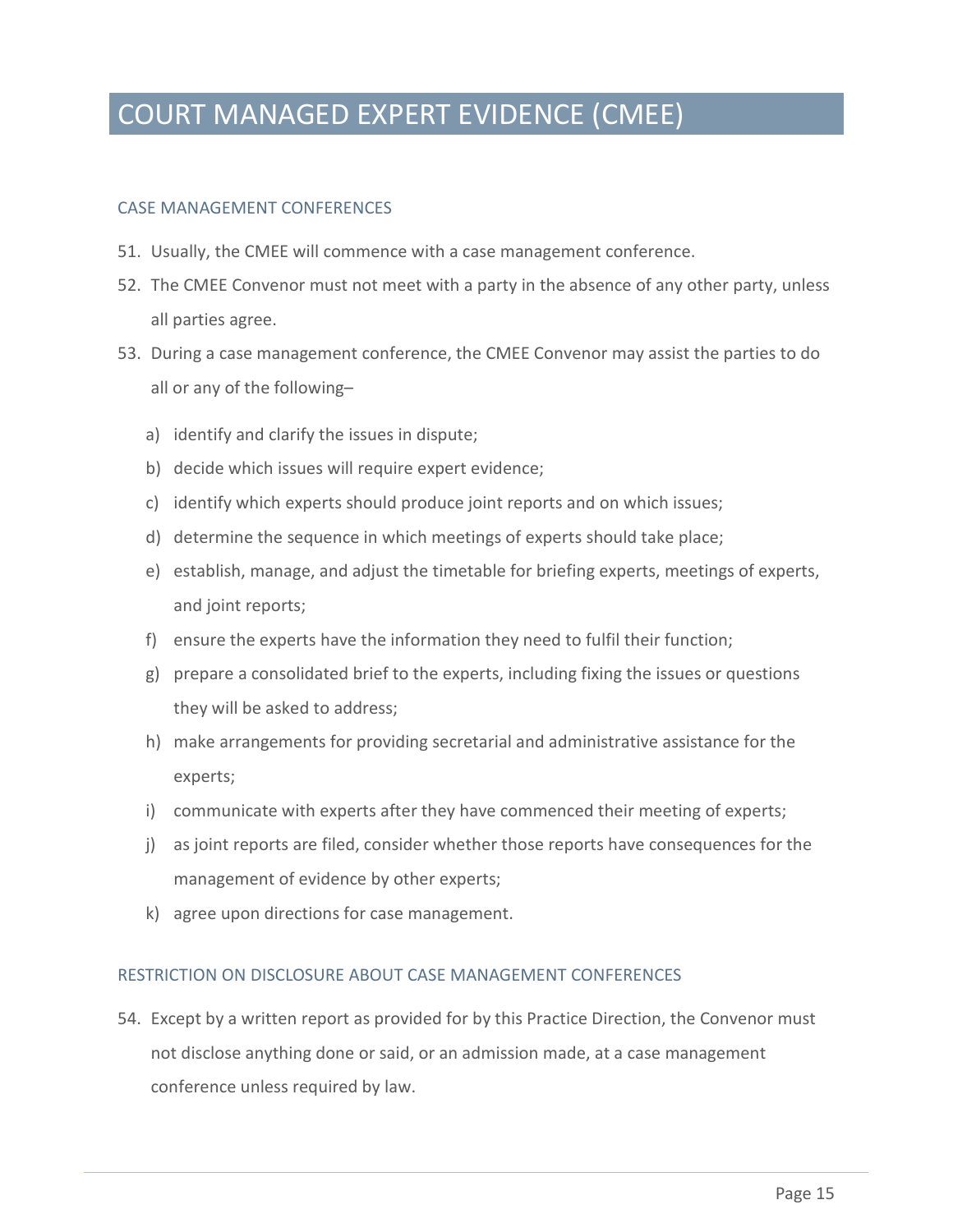#### <span id="page-16-0"></span>CASE MANAGEMENT CONFERENCES

- 51. Usually, the CMEE will commence with a case management conference.
- 52. The CMEE Convenor must not meet with a party in the absence of any other party, unless all parties agree.
- 53. During a case management conference, the CMEE Convenor may assist the parties to do all or any of the following–
	- a) identify and clarify the issues in dispute;
	- b) decide which issues will require expert evidence;
	- c) identify which experts should produce joint reports and on which issues;
	- d) determine the sequence in which meetings of experts should take place;
	- e) establish, manage, and adjust the timetable for briefing experts, meetings of experts, and joint reports;
	- f) ensure the experts have the information they need to fulfil their function;
	- g) prepare a consolidated brief to the experts, including fixing the issues or questions they will be asked to address;
	- h) make arrangements for providing secretarial and administrative assistance for the experts;
	- i) communicate with experts after they have commenced their meeting of experts;
	- j) as joint reports are filed, consider whether those reports have consequences for the management of evidence by other experts;
	- k) agree upon directions for case management.

#### <span id="page-16-1"></span>RESTRICTION ON DISCLOSURE ABOUT CASE MANAGEMENT CONFERENCES

54. Except by a written report as provided for by this Practice Direction, the Convenor must not disclose anything done or said, or an admission made, at a case management conference unless required by law.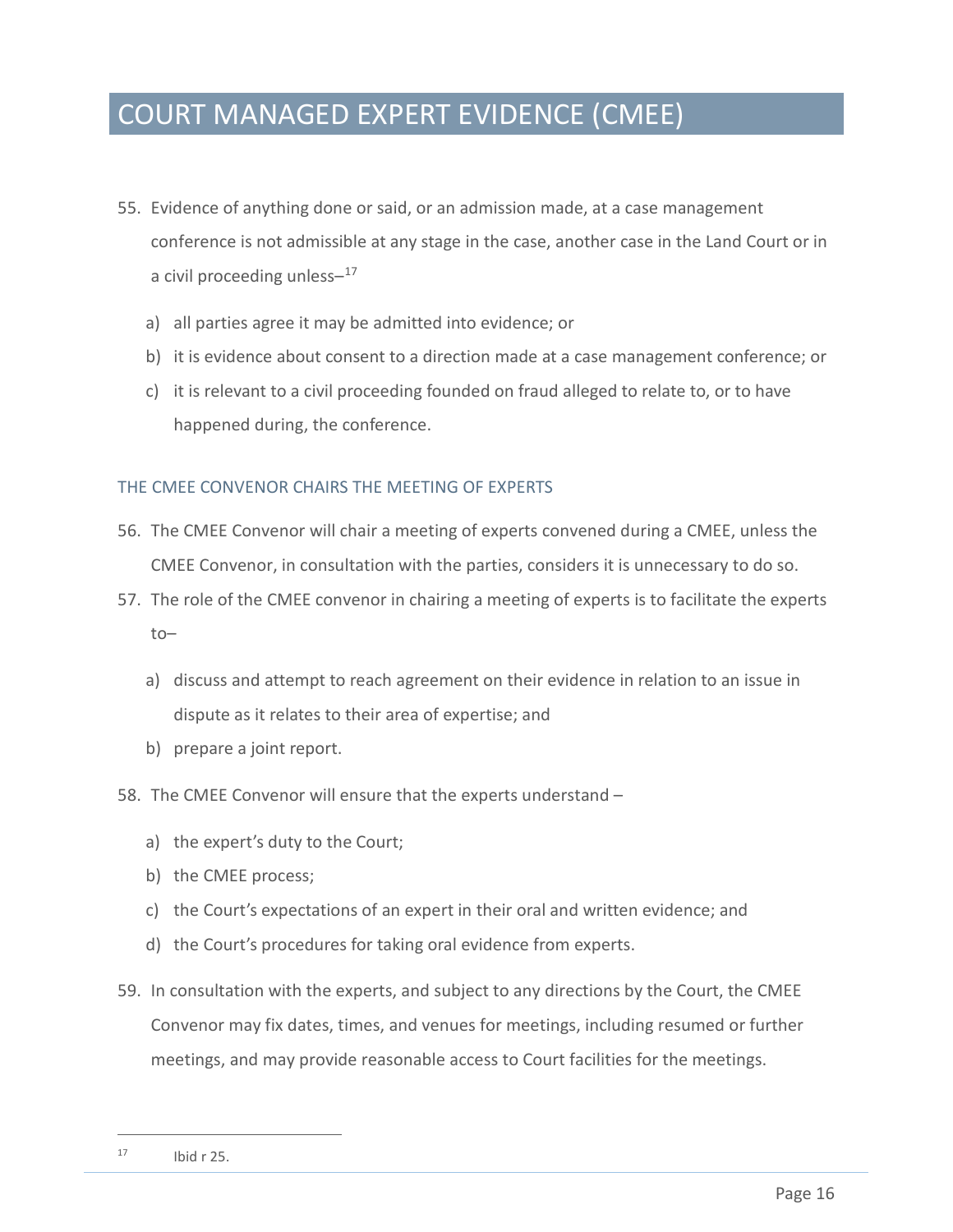- 55. Evidence of anything done or said, or an admission made, at a case management conference is not admissible at any stage in the case, another case in the Land Court or in a civil proceeding unless-<sup>[17](#page-17-1)</sup>
	- a) all parties agree it may be admitted into evidence; or
	- b) it is evidence about consent to a direction made at a case management conference; or
	- c) it is relevant to a civil proceeding founded on fraud alleged to relate to, or to have happened during, the conference.

#### <span id="page-17-0"></span>THE CMEE CONVENOR CHAIRS THE MEETING OF EXPERTS

- 56. The CMEE Convenor will chair a meeting of experts convened during a CMEE, unless the CMEE Convenor, in consultation with the parties, considers it is unnecessary to do so.
- 57. The role of the CMEE convenor in chairing a meeting of experts is to facilitate the experts to–
	- a) discuss and attempt to reach agreement on their evidence in relation to an issue in dispute as it relates to their area of expertise; and
	- b) prepare a joint report.
- 58. The CMEE Convenor will ensure that the experts understand
	- a) the expert's duty to the Court;
	- b) the CMEE process;
	- c) the Court's expectations of an expert in their oral and written evidence; and
	- d) the Court's procedures for taking oral evidence from experts.
- 59. In consultation with the experts, and subject to any directions by the Court, the CMEE Convenor may fix dates, times, and venues for meetings, including resumed or further meetings, and may provide reasonable access to Court facilities for the meetings.

<span id="page-17-1"></span> $17$  Ibid r 25.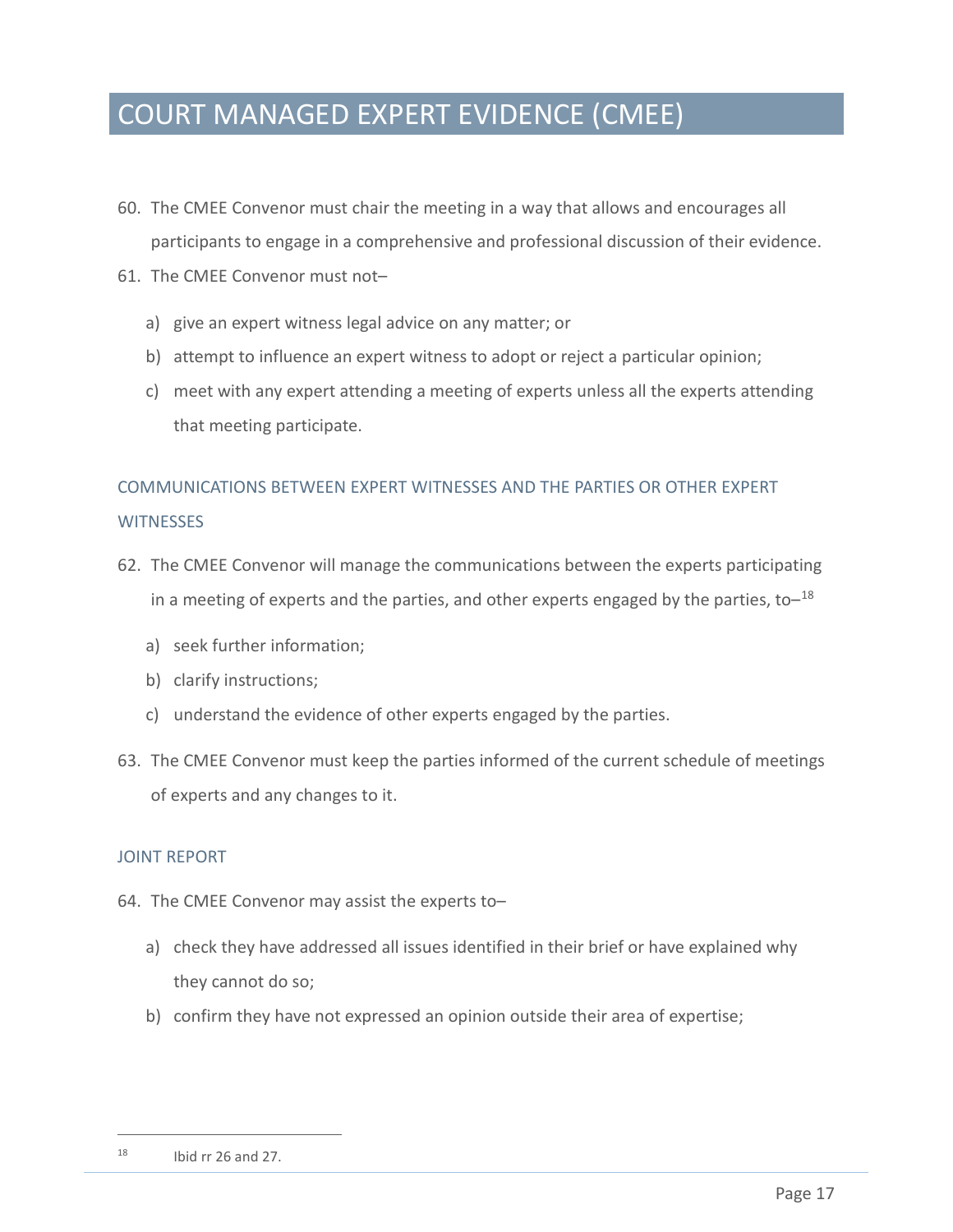- 60. The CMEE Convenor must chair the meeting in a way that allows and encourages all participants to engage in a comprehensive and professional discussion of their evidence.
- 61. The CMEE Convenor must not–
	- a) give an expert witness legal advice on any matter; or
	- b) attempt to influence an expert witness to adopt or reject a particular opinion;
	- c) meet with any expert attending a meeting of experts unless all the experts attending that meeting participate.

#### <span id="page-18-0"></span>COMMUNICATIONS BETWEEN EXPERT WITNESSES AND THE PARTIES OR OTHER EXPERT **WITNESSES**

- 62. The CMEE Convenor will manage the communications between the experts participating in a meeting of experts and the parties, and other experts engaged by the parties, to $-18$  $-18$ 
	- a) seek further information;
	- b) clarify instructions;
	- c) understand the evidence of other experts engaged by the parties.
- 63. The CMEE Convenor must keep the parties informed of the current schedule of meetings of experts and any changes to it.

#### <span id="page-18-1"></span>JOINT REPORT

- 64. The CMEE Convenor may assist the experts to–
	- a) check they have addressed all issues identified in their brief or have explained why they cannot do so;
	- b) confirm they have not expressed an opinion outside their area of expertise;

<span id="page-18-2"></span> $18$  Ibid rr 26 and 27.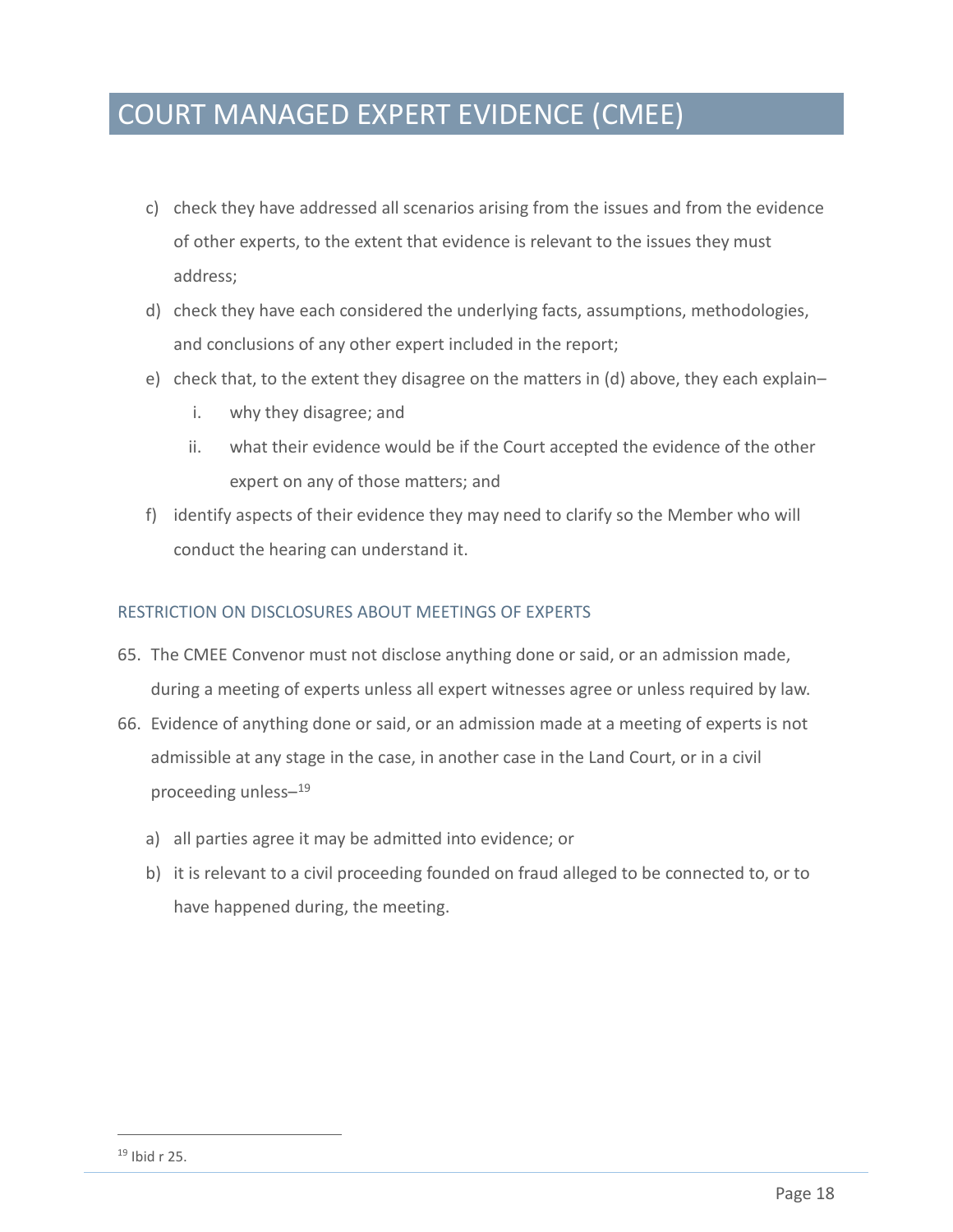- c) check they have addressed all scenarios arising from the issues and from the evidence of other experts, to the extent that evidence is relevant to the issues they must address;
- d) check they have each considered the underlying facts, assumptions, methodologies, and conclusions of any other expert included in the report;
- e) check that, to the extent they disagree on the matters in (d) above, they each explain–
	- i. why they disagree; and
	- ii. what their evidence would be if the Court accepted the evidence of the other expert on any of those matters; and
- f) identify aspects of their evidence they may need to clarify so the Member who will conduct the hearing can understand it.

#### <span id="page-19-0"></span>RESTRICTION ON DISCLOSURES ABOUT MEETINGS OF EXPERTS

- 65. The CMEE Convenor must not disclose anything done or said, or an admission made, during a meeting of experts unless all expert witnesses agree or unless required by law.
- 66. Evidence of anything done or said, or an admission made at a meeting of experts is not admissible at any stage in the case, in another case in the Land Court, or in a civil proceeding unless–[19](#page-19-1)
	- a) all parties agree it may be admitted into evidence; or
	- b) it is relevant to a civil proceeding founded on fraud alleged to be connected to, or to have happened during, the meeting.

<span id="page-19-1"></span><sup>19</sup> Ibid r 25.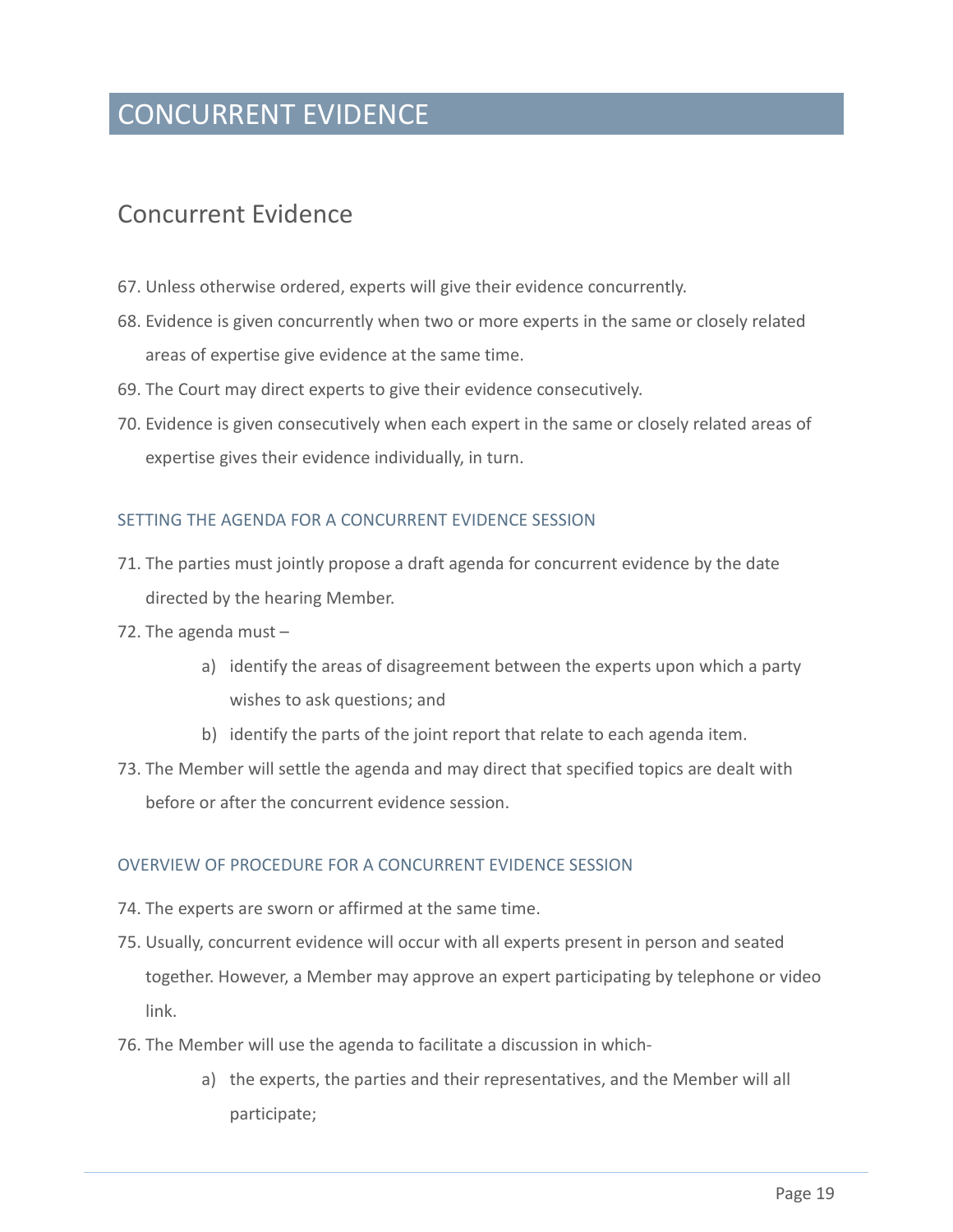## CONCURRENT EVIDENCE

### <span id="page-20-0"></span>Concurrent Evidence

- 67. Unless otherwise ordered, experts will give their evidence concurrently.
- 68. Evidence is given concurrently when two or more experts in the same or closely related areas of expertise give evidence at the same time.
- 69. The Court may direct experts to give their evidence consecutively.
- 70. Evidence is given consecutively when each expert in the same or closely related areas of expertise gives their evidence individually, in turn.

#### <span id="page-20-1"></span>SETTING THE AGENDA FOR A CONCURRENT EVIDENCE SESSION

- 71. The parties must jointly propose a draft agenda for concurrent evidence by the date directed by the hearing Member.
- 72. The agenda must
	- a) identify the areas of disagreement between the experts upon which a party wishes to ask questions; and
	- b) identify the parts of the joint report that relate to each agenda item.
- 73. The Member will settle the agenda and may direct that specified topics are dealt with before or after the concurrent evidence session.

#### <span id="page-20-2"></span>OVERVIEW OF PROCEDURE FOR A CONCURRENT EVIDENCE SESSION

- 74. The experts are sworn or affirmed at the same time.
- 75. Usually, concurrent evidence will occur with all experts present in person and seated together. However, a Member may approve an expert participating by telephone or video link.
- 76. The Member will use the agenda to facilitate a discussion in which
	- a) the experts, the parties and their representatives, and the Member will all participate;